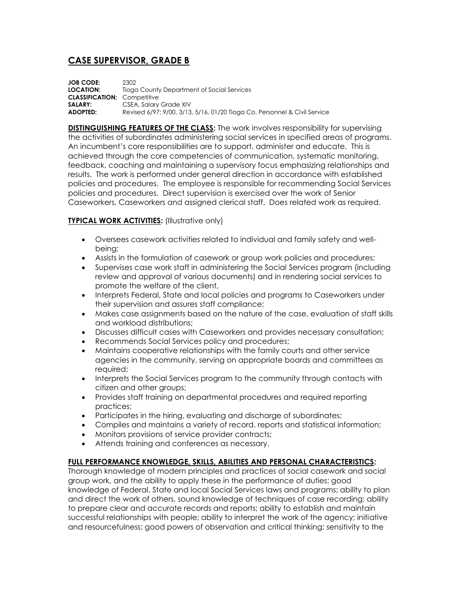# **CASE SUPERVISOR, GRADE B**

**JOB CODE:** 2302 **LOCATION:** Tioga County Department of Social Services **CLASSIFICATION:** Competitive **SALARY:** CSEA, Salary Grade XIV **ADOPTED:** Revised 6/97; 9/00, 3/13, 5/16, 01/20 Tioga Co. Personnel & Civil Service

**DISTINGUISHING FEATURES OF THE CLASS:** The work involves responsibility for supervising the activities of subordinates administering social services in specified areas of programs. An incumbent's core responsibilities are to support, administer and educate. This is achieved through the core competencies of communication, systematic monitoring, feedback, coaching and maintaining a supervisory focus emphasizing relationships and results. The work is performed under general direction in accordance with established policies and procedures. The employee is responsible for recommending Social Services policies and procedures. Direct supervision is exercised over the work of Senior Caseworkers, Caseworkers and assigned clerical staff. Does related work as required.

## **TYPICAL WORK ACTIVITIES:** (Illustrative only)

- Oversees casework activities related to individual and family safety and wellbeing;
- Assists in the formulation of casework or group work policies and procedures;
- Supervises case work staff in administering the Social Services program (including review and approval of various documents) and in rendering social services to promote the welfare of the client,
- Interprets Federal, State and local policies and programs to Caseworkers under their supervision and assures staff compliance;
- Makes case assignments based on the nature of the case, evaluation of staff skills and workload distributions;
- Discusses difficult cases with Caseworkers and provides necessary consultation;
- Recommends Social Services policy and procedures;
- Maintains cooperative relationships with the family courts and other service agencies in the community, serving on appropriate boards and committees as required;
- Interprets the Social Services program to the community through contacts with citizen and other groups;
- Provides staff training on departmental procedures and required reporting practices;
- Participates in the hiring, evaluating and discharge of subordinates;
- Compiles and maintains a variety of record, reports and statistical information;
- Monitors provisions of service provider contracts;
- Attends training and conferences as necessary.

### **FULL PERFORMANCE KNOWLEDGE, SKILLS, ABILITIES AND PERSONAL CHARACTERISTICS:**

Thorough knowledge of modern principles and practices of social casework and social group work, and the ability to apply these in the performance of duties; good knowledge of Federal, State and local Social Services laws and programs; ability to plan and direct the work of others, sound knowledge of techniques of case recording; ability to prepare clear and accurate records and reports; ability to establish and maintain successful relationships with people; ability to interpret the work of the agency; initiative and resourcefulness; good powers of observation and critical thinking; sensitivity to the